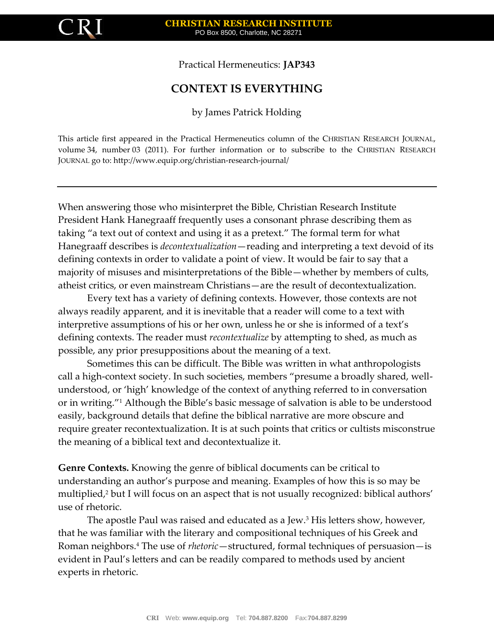

Practical Hermeneutics: **JAP343**

## **CONTEXT IS EVERYTHING**

by James Patrick Holding

This article first appeared in the Practical Hermeneutics column of the CHRISTIAN RESEARCH JOURNAL, volume 34, number 03 (2011). For further information or to subscribe to the CHRISTIAN RESEARCH JOURNAL go to: http://www.equip.org/christian-research-journal/

When answering those who misinterpret the Bible, Christian Research Institute President Hank Hanegraaff frequently uses a consonant phrase describing them as taking "a text out of context and using it as a pretext." The formal term for what Hanegraaff describes is *decontextualization*—reading and interpreting a text devoid of its defining contexts in order to validate a point of view. It would be fair to say that a majority of misuses and misinterpretations of the Bible—whether by members of cults, atheist critics, or even mainstream Christians—are the result of decontextualization.

Every text has a variety of defining contexts. However, those contexts are not always readily apparent, and it is inevitable that a reader will come to a text with interpretive assumptions of his or her own, unless he or she is informed of a text's defining contexts. The reader must *recontextualize* by attempting to shed, as much as possible, any prior presuppositions about the meaning of a text.

Sometimes this can be difficult. The Bible was written in what anthropologists call a high-context society. In such societies, members "presume a broadly shared, wellunderstood, or 'high' knowledge of the context of anything referred to in conversation or in writing."<sup>1</sup> Although the Bible's basic message of salvation is able to be understood easily, background details that define the biblical narrative are more obscure and require greater recontextualization. It is at such points that critics or cultists misconstrue the meaning of a biblical text and decontextualize it.

**Genre Contexts.** Knowing the genre of biblical documents can be critical to understanding an author's purpose and meaning. Examples of how this is so may be multiplied,<sup>2</sup> but I will focus on an aspect that is not usually recognized: biblical authors' use of rhetoric.

The apostle Paul was raised and educated as a Jew.<sup>3</sup> His letters show, however, that he was familiar with the literary and compositional techniques of his Greek and Roman neighbors.<sup>4</sup> The use of *rhetoric*—structured, formal techniques of persuasion—is evident in Paul's letters and can be readily compared to methods used by ancient experts in rhetoric.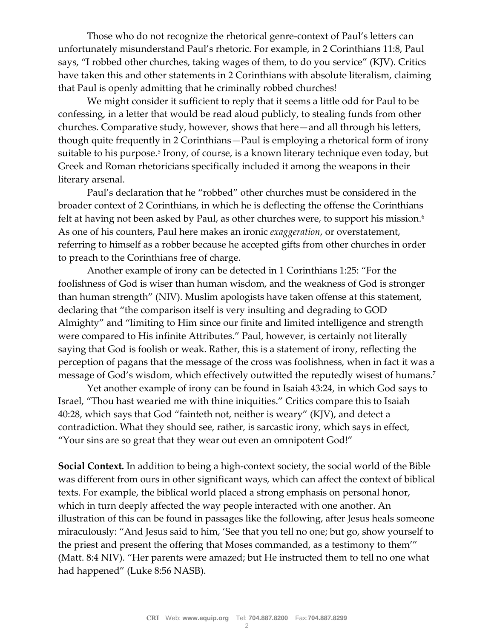Those who do not recognize the rhetorical genre-context of Paul's letters can unfortunately misunderstand Paul's rhetoric. For example, in 2 Corinthians 11:8, Paul says, "I robbed other churches, taking wages of them, to do you service" (KJV). Critics have taken this and other statements in 2 Corinthians with absolute literalism, claiming that Paul is openly admitting that he criminally robbed churches!

We might consider it sufficient to reply that it seems a little odd for Paul to be confessing, in a letter that would be read aloud publicly, to stealing funds from other churches. Comparative study, however, shows that here—and all through his letters, though quite frequently in 2 Corinthians—Paul is employing a rhetorical form of irony suitable to his purpose.<sup>5</sup> Irony, of course, is a known literary technique even today, but Greek and Roman rhetoricians specifically included it among the weapons in their literary arsenal.

Paul's declaration that he "robbed" other churches must be considered in the broader context of 2 Corinthians, in which he is deflecting the offense the Corinthians felt at having not been asked by Paul, as other churches were, to support his mission.<sup>6</sup> As one of his counters, Paul here makes an ironic *exaggeration*, or overstatement, referring to himself as a robber because he accepted gifts from other churches in order to preach to the Corinthians free of charge.

Another example of irony can be detected in 1 Corinthians 1:25: "For the foolishness of God is wiser than human wisdom, and the weakness of God is stronger than human strength" (NIV). Muslim apologists have taken offense at this statement, declaring that "the comparison itself is very insulting and degrading to GOD Almighty" and "limiting to Him since our finite and limited intelligence and strength were compared to His infinite Attributes." Paul, however, is certainly not literally saying that God is foolish or weak. Rather, this is a statement of irony, reflecting the perception of pagans that the message of the cross was foolishness, when in fact it was a message of God's wisdom, which effectively outwitted the reputedly wisest of humans.<sup>7</sup>

Yet another example of irony can be found in Isaiah 43:24, in which God says to Israel, "Thou hast wearied me with thine iniquities." Critics compare this to Isaiah 40:28, which says that God "fainteth not, neither is weary" (KJV), and detect a contradiction. What they should see, rather, is sarcastic irony, which says in effect, "Your sins are so great that they wear out even an omnipotent God!"

**Social Context.** In addition to being a high-context society, the social world of the Bible was different from ours in other significant ways, which can affect the context of biblical texts. For example, the biblical world placed a strong emphasis on personal honor, which in turn deeply affected the way people interacted with one another. An illustration of this can be found in passages like the following, after Jesus heals someone miraculously: "And Jesus said to him, 'See that you tell no one; but go, show yourself to the priest and present the offering that Moses commanded, as a testimony to them'" (Matt. 8:4 NIV). "Her parents were amazed; but He instructed them to tell no one what had happened" (Luke 8:56 NASB).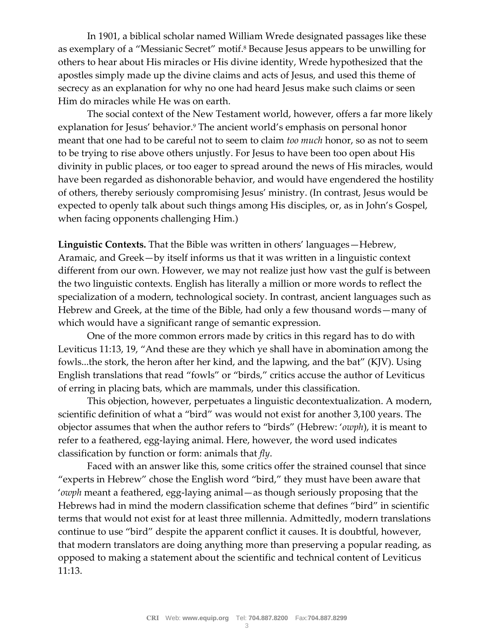In 1901, a biblical scholar named William Wrede designated passages like these as exemplary of a "Messianic Secret" motif.<sup>8</sup> Because Jesus appears to be unwilling for others to hear about His miracles or His divine identity, Wrede hypothesized that the apostles simply made up the divine claims and acts of Jesus, and used this theme of secrecy as an explanation for why no one had heard Jesus make such claims or seen Him do miracles while He was on earth.

The social context of the New Testament world, however, offers a far more likely explanation for Jesus' behavior. <sup>9</sup> The ancient world's emphasis on personal honor meant that one had to be careful not to seem to claim *too much* honor, so as not to seem to be trying to rise above others unjustly. For Jesus to have been too open about His divinity in public places, or too eager to spread around the news of His miracles, would have been regarded as dishonorable behavior, and would have engendered the hostility of others, thereby seriously compromising Jesus' ministry. (In contrast, Jesus would be expected to openly talk about such things among His disciples, or, as in John's Gospel, when facing opponents challenging Him.)

**Linguistic Contexts.** That the Bible was written in others' languages—Hebrew, Aramaic, and Greek—by itself informs us that it was written in a linguistic context different from our own. However, we may not realize just how vast the gulf is between the two linguistic contexts. English has literally a million or more words to reflect the specialization of a modern, technological society. In contrast, ancient languages such as Hebrew and Greek, at the time of the Bible, had only a few thousand words—many of which would have a significant range of semantic expression.

One of the more common errors made by critics in this regard has to do with Leviticus 11:13, 19, "And these are they which ye shall have in abomination among the fowls...the stork, the heron after her kind, and the lapwing, and the bat" (KJV). Using English translations that read "fowls" or "birds," critics accuse the author of Leviticus of erring in placing bats, which are mammals, under this classification.

This objection, however, perpetuates a linguistic decontextualization. A modern, scientific definition of what a "bird" was would not exist for another 3,100 years. The objector assumes that when the author refers to "birds" (Hebrew: '*owph*), it is meant to refer to a feathered, egg-laying animal. Here, however, the word used indicates classification by function or form: animals that *fly*.

Faced with an answer like this, some critics offer the strained counsel that since "experts in Hebrew" chose the English word "bird," they must have been aware that '*owph* meant a feathered, egg-laying animal—as though seriously proposing that the Hebrews had in mind the modern classification scheme that defines "bird" in scientific terms that would not exist for at least three millennia. Admittedly, modern translations continue to use "bird" despite the apparent conflict it causes. It is doubtful, however, that modern translators are doing anything more than preserving a popular reading, as opposed to making a statement about the scientific and technical content of Leviticus 11:13.